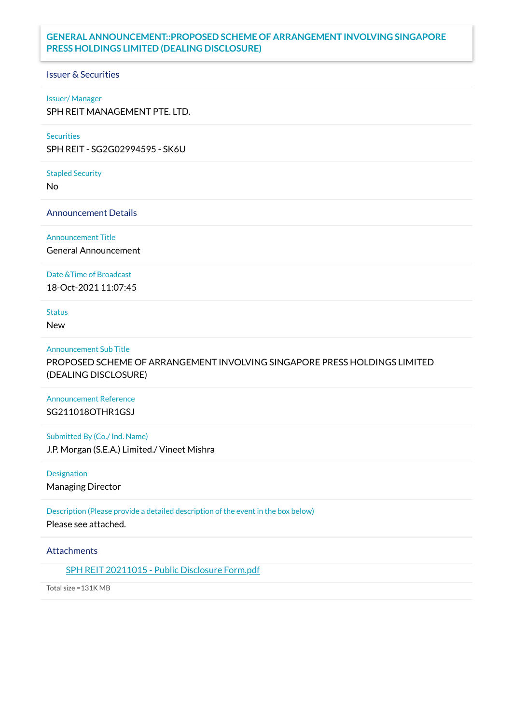## **GENERAL ANNOUNCEMENT::PROPOSED SCHEME OF ARRANGEMENT INVOLVING SINGAPORE PRESS HOLDINGS LIMITED (DEALING DISCLOSURE)**

## Issuer & Securities

### Issuer/ Manager

SPH REIT MANAGEMENT PTE. LTD.

## **Securities**

SPH REIT - SG2G02994595 - SK6U

### Stapled Security

No

Announcement Details

Announcement Title

General Announcement

Date &Time of Broadcast

18-Oct-2021 11:07:45

# Status

New

### Announcement Sub Title

PROPOSED SCHEME OF ARRANGEMENT INVOLVING SINGAPORE PRESS HOLDINGS LIMITED (DEALING DISCLOSURE)

## Announcement Reference SG211018OTHR1GSJ

Submitted By (Co./ Ind. Name) J.P. Morgan (S.E.A.) Limited./ Vineet Mishra

Designation Managing Director

Description (Please provide a detailed description of the event in the box below) Please see attached.

## **Attachments**

SPH REIT [20211015](https://links.sgx.com/1.0.0/corporate-announcements/8M7JRU9DXRT76C48/687107_SPH%20REIT%2020211015%20-%20Public%20Disclosure%20Form.pdf) - Public Disclosure Form.pdf

Total size =131K MB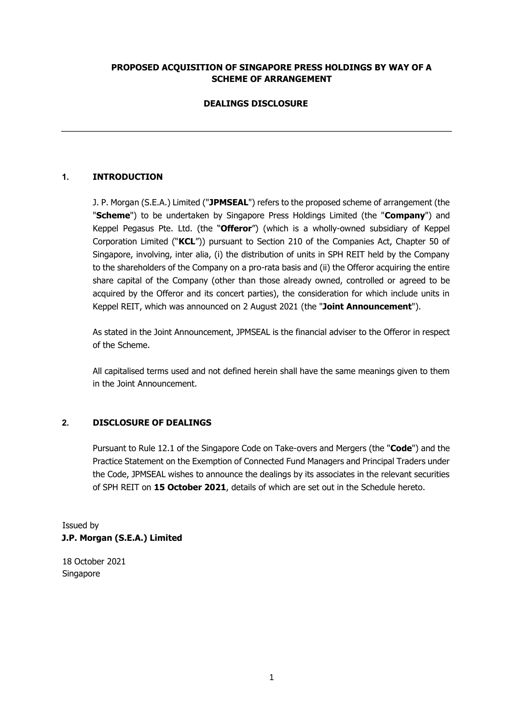## **PROPOSED ACQUISITION OF SINGAPORE PRESS HOLDINGS BY WAY OF A SCHEME OF ARRANGEMENT**

## **DEALINGS DISCLOSURE**

## **1. INTRODUCTION**

J. P. Morgan (S.E.A.) Limited ("**JPMSEAL**") refers to the proposed scheme of arrangement (the "**Scheme**") to be undertaken by Singapore Press Holdings Limited (the "**Company**") and Keppel Pegasus Pte. Ltd. (the "**Offeror**") (which is a wholly-owned subsidiary of Keppel Corporation Limited ("**KCL**")) pursuant to Section 210 of the Companies Act, Chapter 50 of Singapore, involving, inter alia, (i) the distribution of units in SPH REIT held by the Company to the shareholders of the Company on a pro-rata basis and (ii) the Offeror acquiring the entire share capital of the Company (other than those already owned, controlled or agreed to be acquired by the Offeror and its concert parties), the consideration for which include units in Keppel REIT, which was announced on 2 August 2021 (the "**Joint Announcement**").

As stated in the Joint Announcement, JPMSEAL is the financial adviser to the Offeror in respect of the Scheme.

All capitalised terms used and not defined herein shall have the same meanings given to them in the Joint Announcement.

### **2. DISCLOSURE OF DEALINGS**

Pursuant to Rule 12.1 of the Singapore Code on Take-overs and Mergers (the "**Code**") and the Practice Statement on the Exemption of Connected Fund Managers and Principal Traders under the Code, JPMSEAL wishes to announce the dealings by its associates in the relevant securities of SPH REIT on **15 October 2021**, details of which are set out in the Schedule hereto.

Issued by **J.P. Morgan (S.E.A.) Limited** 

18 October 2021 Singapore